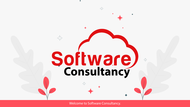

**Software** 

 $\frac{1}{\sqrt{11}}$ 

Welcome to Software Consultancy.

 $\frac{1}{\sqrt{2}}$ 

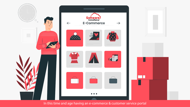

#### In this time and age having an e-commerce & customer service portal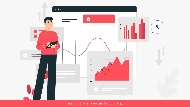

is a must for any successful business,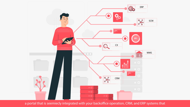

# a portal that is seemiecly integrated with your backoffice operation, CRM, and ERP systems that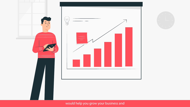

# would help you grow your business and

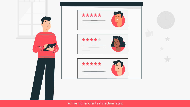

### achive higher client satisfaction rates.

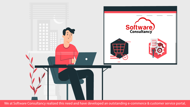

We at Software Consultancy realized this need and have developed an outstanding e-commerce & customer service portal,

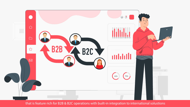

that is feature rich for B2B & B2C operations with built-in integration to international solustions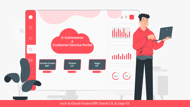#### such as Oracle Fusion ERP, Oracle CX, & Sage X3.

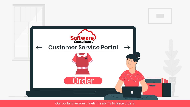

Our portal give your clinets the ability to place orders,



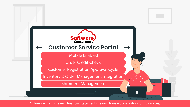

Online Payments, review financial statements, review transactions history, print invoices,



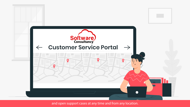



and open support cases at any time and from any location.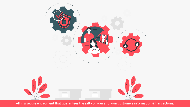

All in a secure enviroment that guarantees the safty of your and your customers information & transactions,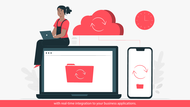

## with real-time integration to your business applications.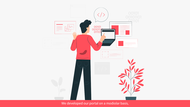# HH  $\alpha$  is a second contract of  $\alpha$  $\alpha$  is a summarized .

in the

### We developed our portal on a modiolar basis,

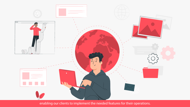

enabling our clients to implement the needed features for their operations.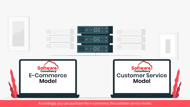Accordingly, you can purchase the e-commerce, the customer service model,







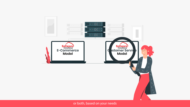

#### or both, based on your needs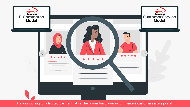Are you looking for a trusted partner that can help your build your e-commerce & customer service portal?